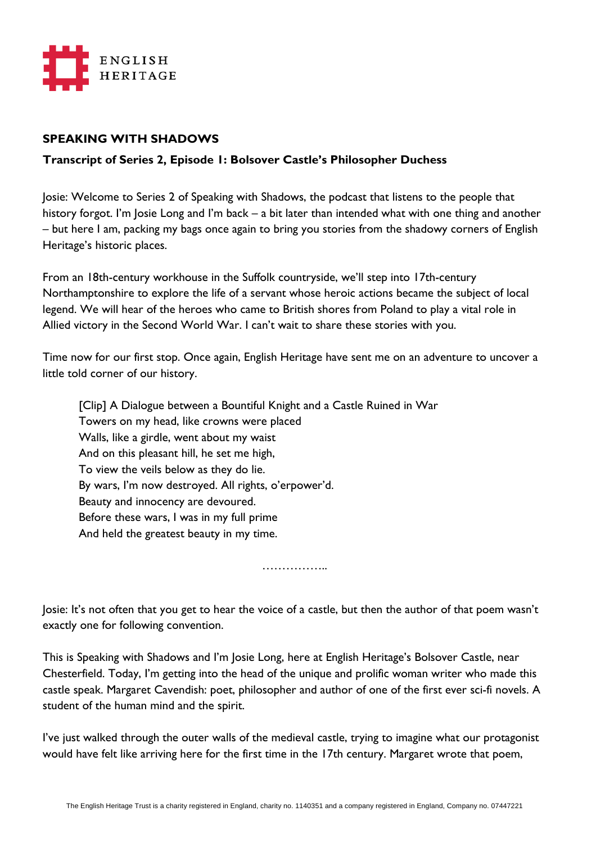

## **SPEAKING WITH SHADOWS**

## **Transcript of Series 2, Episode 1: Bolsover Castle's Philosopher Duchess**

Josie: Welcome to Series 2 of Speaking with Shadows, the podcast that listens to the people that history forgot. I'm Josie Long and I'm back – a bit later than intended what with one thing and another – but here I am, packing my bags once again to bring you stories from the shadowy corners of English Heritage's historic places.

From an 18th-century workhouse in the Suffolk countryside, we'll step into 17th-century Northamptonshire to explore the life of a servant whose heroic actions became the subject of local legend. We will hear of the heroes who came to British shores from Poland to play a vital role in Allied victory in the Second World War. I can't wait to share these stories with you.

Time now for our first stop. Once again, English Heritage have sent me on an adventure to uncover a little told corner of our history.

[Clip] A Dialogue between a Bountiful Knight and a Castle Ruined in War Towers on my head, like crowns were placed Walls, like a girdle, went about my waist And on this pleasant hill, he set me high, To view the veils below as they do lie. By wars, I'm now destroyed. All rights, o'erpower'd. Beauty and innocency are devoured. Before these wars, I was in my full prime And held the greatest beauty in my time.

……………..

Josie: It's not often that you get to hear the voice of a castle, but then the author of that poem wasn't exactly one for following convention.

This is Speaking with Shadows and I'm Josie Long, here at English Heritage's Bolsover Castle, near Chesterfield. Today, I'm getting into the head of the unique and prolific woman writer who made this castle speak. Margaret Cavendish: poet, philosopher and author of one of the first ever sci-fi novels. A student of the human mind and the spirit.

I've just walked through the outer walls of the medieval castle, trying to imagine what our protagonist would have felt like arriving here for the first time in the 17th century. Margaret wrote that poem,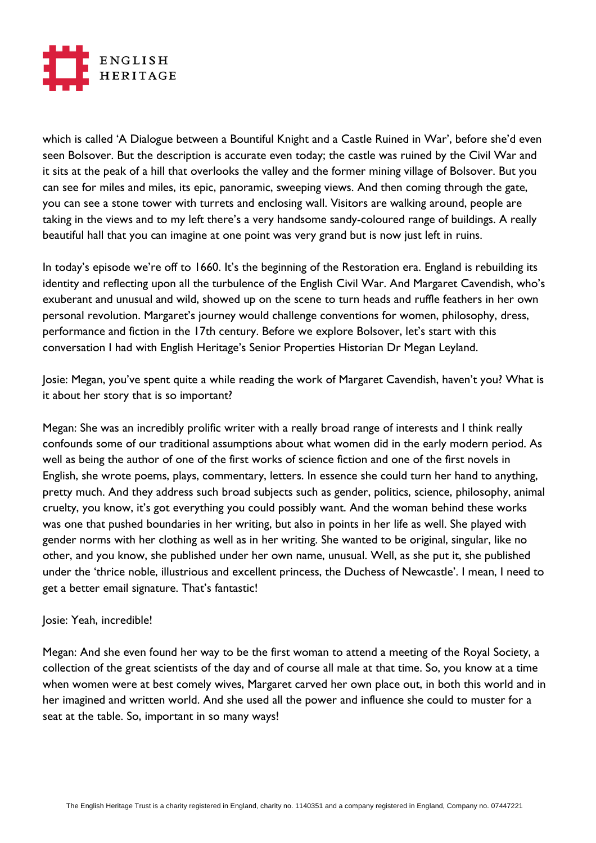

which is called 'A Dialogue between a Bountiful Knight and a Castle Ruined in War', before she'd even seen Bolsover. But the description is accurate even today; the castle was ruined by the Civil War and it sits at the peak of a hill that overlooks the valley and the former mining village of Bolsover. But you can see for miles and miles, its epic, panoramic, sweeping views. And then coming through the gate, you can see a stone tower with turrets and enclosing wall. Visitors are walking around, people are taking in the views and to my left there's a very handsome sandy-coloured range of buildings. A really beautiful hall that you can imagine at one point was very grand but is now just left in ruins.

In today's episode we're off to 1660. It's the beginning of the Restoration era. England is rebuilding its identity and reflecting upon all the turbulence of the English Civil War. And Margaret Cavendish, who's exuberant and unusual and wild, showed up on the scene to turn heads and ruffle feathers in her own personal revolution. Margaret's journey would challenge conventions for women, philosophy, dress, performance and fiction in the 17th century. Before we explore Bolsover, let's start with this conversation I had with English Heritage's Senior Properties Historian Dr Megan Leyland.

Josie: Megan, you've spent quite a while reading the work of Margaret Cavendish, haven't you? What is it about her story that is so important?

Megan: She was an incredibly prolific writer with a really broad range of interests and I think really confounds some of our traditional assumptions about what women did in the early modern period. As well as being the author of one of the first works of science fiction and one of the first novels in English, she wrote poems, plays, commentary, letters. In essence she could turn her hand to anything, pretty much. And they address such broad subjects such as gender, politics, science, philosophy, animal cruelty, you know, it's got everything you could possibly want. And the woman behind these works was one that pushed boundaries in her writing, but also in points in her life as well. She played with gender norms with her clothing as well as in her writing. She wanted to be original, singular, like no other, and you know, she published under her own name, unusual. Well, as she put it, she published under the 'thrice noble, illustrious and excellent princess, the Duchess of Newcastle'. I mean, I need to get a better email signature. That's fantastic!

## Josie: Yeah, incredible!

Megan: And she even found her way to be the first woman to attend a meeting of the Royal Society, a collection of the great scientists of the day and of course all male at that time. So, you know at a time when women were at best comely wives, Margaret carved her own place out, in both this world and in her imagined and written world. And she used all the power and influence she could to muster for a seat at the table. So, important in so many ways!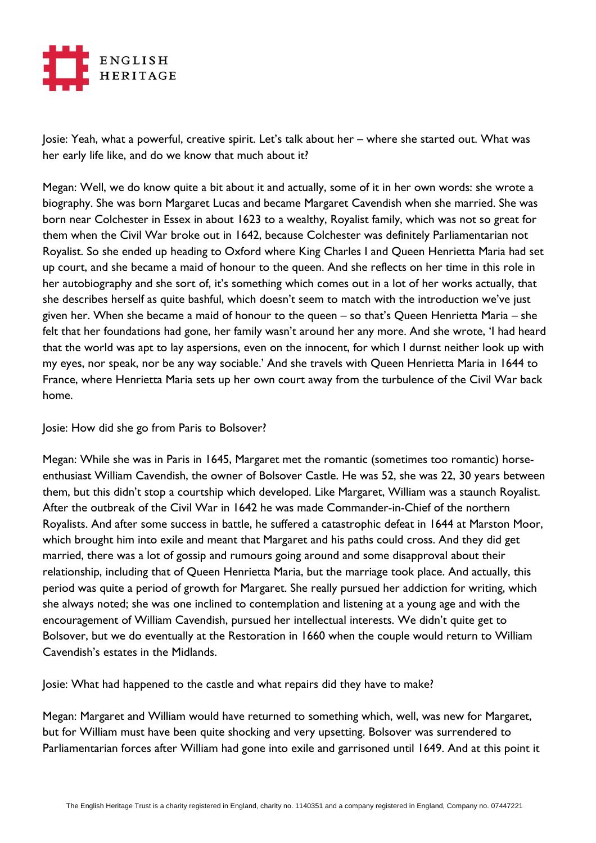

Josie: Yeah, what a powerful, creative spirit. Let's talk about her – where she started out. What was her early life like, and do we know that much about it?

Megan: Well, we do know quite a bit about it and actually, some of it in her own words: she wrote a biography. She was born Margaret Lucas and became Margaret Cavendish when she married. She was born near Colchester in Essex in about 1623 to a wealthy, Royalist family, which was not so great for them when the Civil War broke out in 1642, because Colchester was definitely Parliamentarian not Royalist. So she ended up heading to Oxford where King Charles I and Queen Henrietta Maria had set up court, and she became a maid of honour to the queen. And she reflects on her time in this role in her autobiography and she sort of, it's something which comes out in a lot of her works actually, that she describes herself as quite bashful, which doesn't seem to match with the introduction we've just given her. When she became a maid of honour to the queen – so that's Queen Henrietta Maria – she felt that her foundations had gone, her family wasn't around her any more. And she wrote, 'I had heard that the world was apt to lay aspersions, even on the innocent, for which I durnst neither look up with my eyes, nor speak, nor be any way sociable.' And she travels with Queen Henrietta Maria in 1644 to France, where Henrietta Maria sets up her own court away from the turbulence of the Civil War back home.

Josie: How did she go from Paris to Bolsover?

Megan: While she was in Paris in 1645, Margaret met the romantic (sometimes too romantic) horseenthusiast William Cavendish, the owner of Bolsover Castle. He was 52, she was 22, 30 years between them, but this didn't stop a courtship which developed. Like Margaret, William was a staunch Royalist. After the outbreak of the Civil War in 1642 he was made Commander-in-Chief of the northern Royalists. And after some success in battle, he suffered a catastrophic defeat in 1644 at Marston Moor, which brought him into exile and meant that Margaret and his paths could cross. And they did get married, there was a lot of gossip and rumours going around and some disapproval about their relationship, including that of Queen Henrietta Maria, but the marriage took place. And actually, this period was quite a period of growth for Margaret. She really pursued her addiction for writing, which she always noted; she was one inclined to contemplation and listening at a young age and with the encouragement of William Cavendish, pursued her intellectual interests. We didn't quite get to Bolsover, but we do eventually at the Restoration in 1660 when the couple would return to William Cavendish's estates in the Midlands.

Josie: What had happened to the castle and what repairs did they have to make?

Megan: Margaret and William would have returned to something which, well, was new for Margaret, but for William must have been quite shocking and very upsetting. Bolsover was surrendered to Parliamentarian forces after William had gone into exile and garrisoned until 1649. And at this point it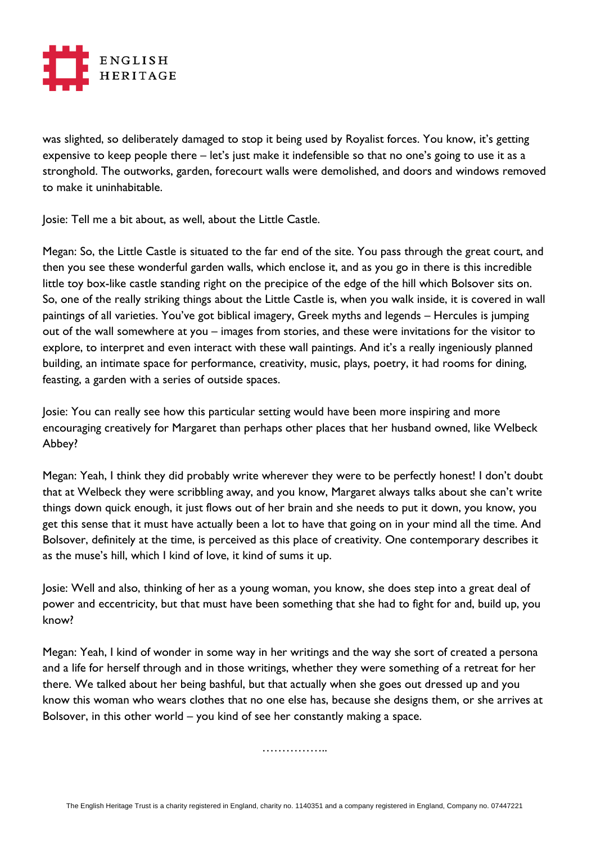

was slighted, so deliberately damaged to stop it being used by Royalist forces. You know, it's getting expensive to keep people there – let's just make it indefensible so that no one's going to use it as a stronghold. The outworks, garden, forecourt walls were demolished, and doors and windows removed to make it uninhabitable.

Josie: Tell me a bit about, as well, about the Little Castle.

Megan: So, the Little Castle is situated to the far end of the site. You pass through the great court, and then you see these wonderful garden walls, which enclose it, and as you go in there is this incredible little toy box-like castle standing right on the precipice of the edge of the hill which Bolsover sits on. So, one of the really striking things about the Little Castle is, when you walk inside, it is covered in wall paintings of all varieties. You've got biblical imagery, Greek myths and legends – Hercules is jumping out of the wall somewhere at you – images from stories, and these were invitations for the visitor to explore, to interpret and even interact with these wall paintings. And it's a really ingeniously planned building, an intimate space for performance, creativity, music, plays, poetry, it had rooms for dining, feasting, a garden with a series of outside spaces.

Josie: You can really see how this particular setting would have been more inspiring and more encouraging creatively for Margaret than perhaps other places that her husband owned, like Welbeck Abbey?

Megan: Yeah, I think they did probably write wherever they were to be perfectly honest! I don't doubt that at Welbeck they were scribbling away, and you know, Margaret always talks about she can't write things down quick enough, it just flows out of her brain and she needs to put it down, you know, you get this sense that it must have actually been a lot to have that going on in your mind all the time. And Bolsover, definitely at the time, is perceived as this place of creativity. One contemporary describes it as the muse's hill, which I kind of love, it kind of sums it up.

Josie: Well and also, thinking of her as a young woman, you know, she does step into a great deal of power and eccentricity, but that must have been something that she had to fight for and, build up, you know?

Megan: Yeah, I kind of wonder in some way in her writings and the way she sort of created a persona and a life for herself through and in those writings, whether they were something of a retreat for her there. We talked about her being bashful, but that actually when she goes out dressed up and you know this woman who wears clothes that no one else has, because she designs them, or she arrives at Bolsover, in this other world – you kind of see her constantly making a space.

……………..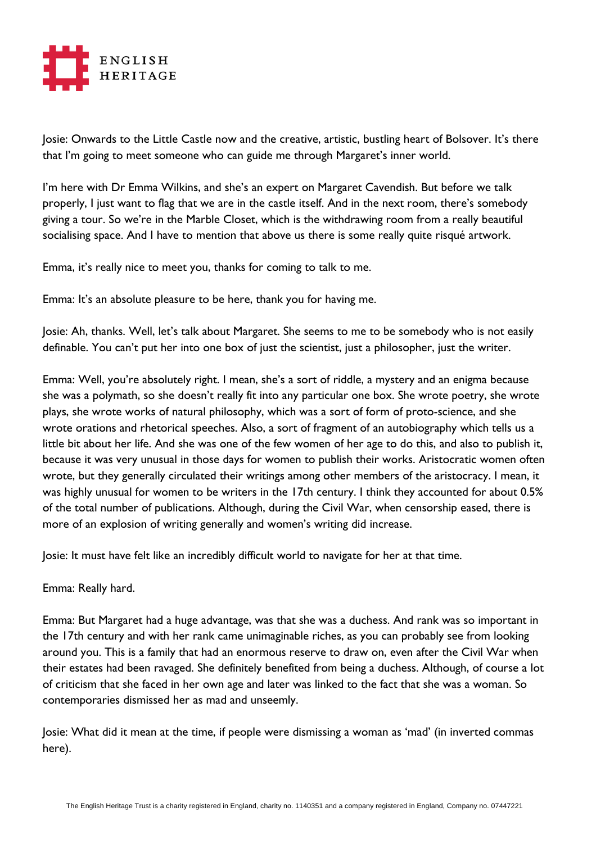

Josie: Onwards to the Little Castle now and the creative, artistic, bustling heart of Bolsover. It's there that I'm going to meet someone who can guide me through Margaret's inner world.

I'm here with Dr Emma Wilkins, and she's an expert on Margaret Cavendish. But before we talk properly, I just want to flag that we are in the castle itself. And in the next room, there's somebody giving a tour. So we're in the Marble Closet, which is the withdrawing room from a really beautiful socialising space. And I have to mention that above us there is some really quite risqué artwork.

Emma, it's really nice to meet you, thanks for coming to talk to me.

Emma: It's an absolute pleasure to be here, thank you for having me.

Josie: Ah, thanks. Well, let's talk about Margaret. She seems to me to be somebody who is not easily definable. You can't put her into one box of just the scientist, just a philosopher, just the writer.

Emma: Well, you're absolutely right. I mean, she's a sort of riddle, a mystery and an enigma because she was a polymath, so she doesn't really fit into any particular one box. She wrote poetry, she wrote plays, she wrote works of natural philosophy, which was a sort of form of proto-science, and she wrote orations and rhetorical speeches. Also, a sort of fragment of an autobiography which tells us a little bit about her life. And she was one of the few women of her age to do this, and also to publish it, because it was very unusual in those days for women to publish their works. Aristocratic women often wrote, but they generally circulated their writings among other members of the aristocracy. I mean, it was highly unusual for women to be writers in the 17th century. I think they accounted for about 0.5% of the total number of publications. Although, during the Civil War, when censorship eased, there is more of an explosion of writing generally and women's writing did increase.

Josie: It must have felt like an incredibly difficult world to navigate for her at that time.

Emma: Really hard.

Emma: But Margaret had a huge advantage, was that she was a duchess. And rank was so important in the 17th century and with her rank came unimaginable riches, as you can probably see from looking around you. This is a family that had an enormous reserve to draw on, even after the Civil War when their estates had been ravaged. She definitely benefited from being a duchess. Although, of course a lot of criticism that she faced in her own age and later was linked to the fact that she was a woman. So contemporaries dismissed her as mad and unseemly.

Josie: What did it mean at the time, if people were dismissing a woman as 'mad' (in inverted commas here).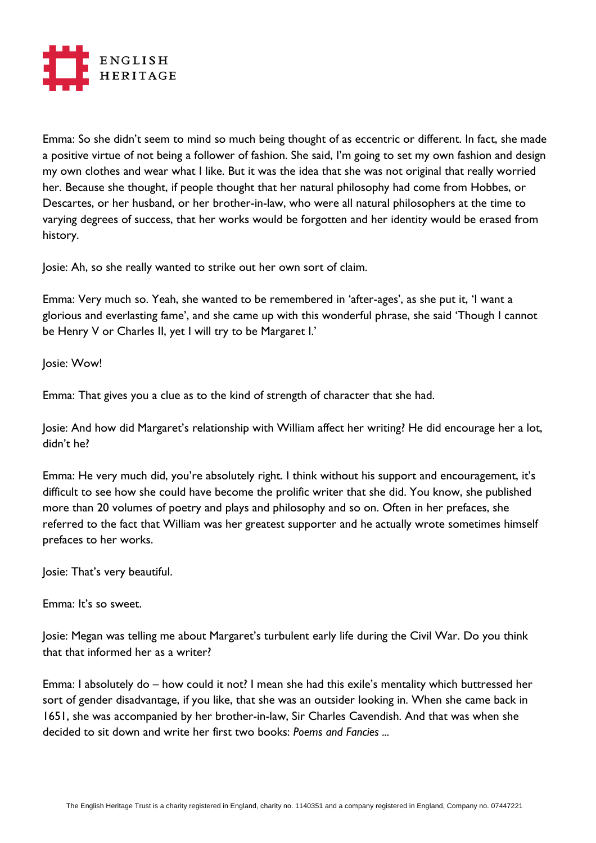

Emma: So she didn't seem to mind so much being thought of as eccentric or different. In fact, she made a positive virtue of not being a follower of fashion. She said, I'm going to set my own fashion and design my own clothes and wear what I like. But it was the idea that she was not original that really worried her. Because she thought, if people thought that her natural philosophy had come from Hobbes, or Descartes, or her husband, or her brother-in-law, who were all natural philosophers at the time to varying degrees of success, that her works would be forgotten and her identity would be erased from history.

Josie: Ah, so she really wanted to strike out her own sort of claim.

Emma: Very much so. Yeah, she wanted to be remembered in 'after-ages', as she put it, 'I want a glorious and everlasting fame', and she came up with this wonderful phrase, she said 'Though I cannot be Henry V or Charles II, yet I will try to be Margaret I.'

Josie: Wow!

Emma: That gives you a clue as to the kind of strength of character that she had.

Josie: And how did Margaret's relationship with William affect her writing? He did encourage her a lot, didn't he?

Emma: He very much did, you're absolutely right. I think without his support and encouragement, it's difficult to see how she could have become the prolific writer that she did. You know, she published more than 20 volumes of poetry and plays and philosophy and so on. Often in her prefaces, she referred to the fact that William was her greatest supporter and he actually wrote sometimes himself prefaces to her works.

Josie: That's very beautiful.

Emma: It's so sweet.

Josie: Megan was telling me about Margaret's turbulent early life during the Civil War. Do you think that that informed her as a writer?

Emma: I absolutely do – how could it not? I mean she had this exile's mentality which buttressed her sort of gender disadvantage, if you like, that she was an outsider looking in. When she came back in 1651, she was accompanied by her brother-in-law, Sir Charles Cavendish. And that was when she decided to sit down and write her first two books: *Poems and Fancies ...*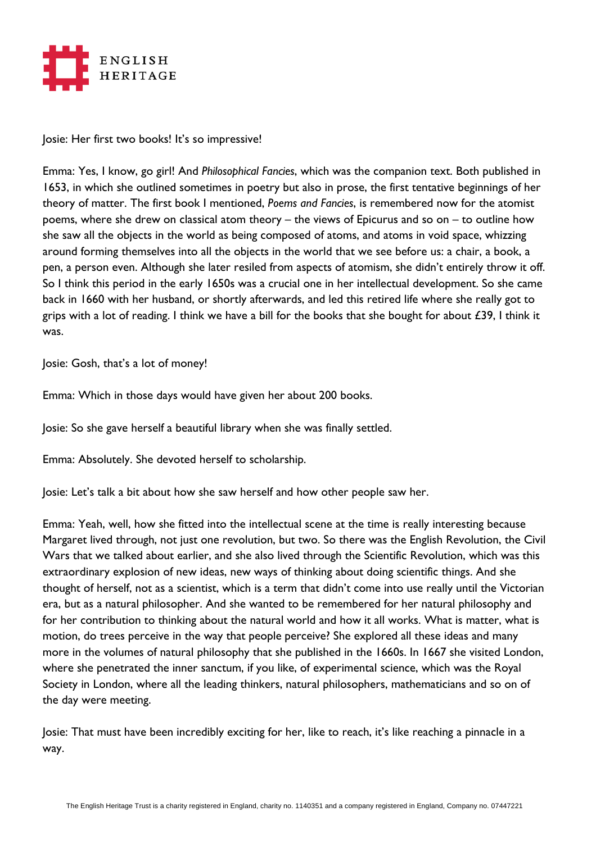

Josie: Her first two books! It's so impressive!

Emma: Yes, I know, go girl! And *Philosophical Fancies*, which was the companion text. Both published in 1653, in which she outlined sometimes in poetry but also in prose, the first tentative beginnings of her theory of matter. The first book I mentioned, *Poems and Fancies*, is remembered now for the atomist poems, where she drew on classical atom theory – the views of Epicurus and so on – to outline how she saw all the objects in the world as being composed of atoms, and atoms in void space, whizzing around forming themselves into all the objects in the world that we see before us: a chair, a book, a pen, a person even. Although she later resiled from aspects of atomism, she didn't entirely throw it off. So I think this period in the early 1650s was a crucial one in her intellectual development. So she came back in 1660 with her husband, or shortly afterwards, and led this retired life where she really got to grips with a lot of reading. I think we have a bill for the books that she bought for about  $£39$ , I think it was.

Josie: Gosh, that's a lot of money!

Emma: Which in those days would have given her about 200 books.

Josie: So she gave herself a beautiful library when she was finally settled.

Emma: Absolutely. She devoted herself to scholarship.

Josie: Let's talk a bit about how she saw herself and how other people saw her.

Emma: Yeah, well, how she fitted into the intellectual scene at the time is really interesting because Margaret lived through, not just one revolution, but two. So there was the English Revolution, the Civil Wars that we talked about earlier, and she also lived through the Scientific Revolution, which was this extraordinary explosion of new ideas, new ways of thinking about doing scientific things. And she thought of herself, not as a scientist, which is a term that didn't come into use really until the Victorian era, but as a natural philosopher. And she wanted to be remembered for her natural philosophy and for her contribution to thinking about the natural world and how it all works. What is matter, what is motion, do trees perceive in the way that people perceive? She explored all these ideas and many more in the volumes of natural philosophy that she published in the 1660s. In 1667 she visited London, where she penetrated the inner sanctum, if you like, of experimental science, which was the Royal Society in London, where all the leading thinkers, natural philosophers, mathematicians and so on of the day were meeting.

Josie: That must have been incredibly exciting for her, like to reach, it's like reaching a pinnacle in a way.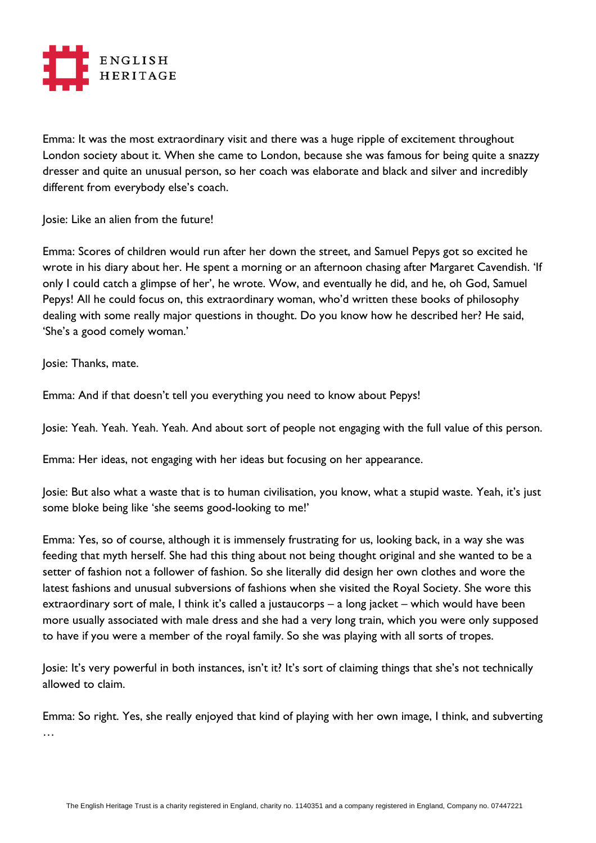

Emma: It was the most extraordinary visit and there was a huge ripple of excitement throughout London society about it. When she came to London, because she was famous for being quite a snazzy dresser and quite an unusual person, so her coach was elaborate and black and silver and incredibly different from everybody else's coach.

Josie: Like an alien from the future!

Emma: Scores of children would run after her down the street, and Samuel Pepys got so excited he wrote in his diary about her. He spent a morning or an afternoon chasing after Margaret Cavendish. 'If only I could catch a glimpse of her', he wrote. Wow, and eventually he did, and he, oh God, Samuel Pepys! All he could focus on, this extraordinary woman, who'd written these books of philosophy dealing with some really major questions in thought. Do you know how he described her? He said, 'She's a good comely woman.'

Josie: Thanks, mate.

Emma: And if that doesn't tell you everything you need to know about Pepys!

Josie: Yeah. Yeah. Yeah. Yeah. And about sort of people not engaging with the full value of this person.

Emma: Her ideas, not engaging with her ideas but focusing on her appearance.

Josie: But also what a waste that is to human civilisation, you know, what a stupid waste. Yeah, it's just some bloke being like 'she seems good-looking to me!'

Emma: Yes, so of course, although it is immensely frustrating for us, looking back, in a way she was feeding that myth herself. She had this thing about not being thought original and she wanted to be a setter of fashion not a follower of fashion. So she literally did design her own clothes and wore the latest fashions and unusual subversions of fashions when she visited the Royal Society. She wore this extraordinary sort of male, I think it's called a justaucorps – a long jacket – which would have been more usually associated with male dress and she had a very long train, which you were only supposed to have if you were a member of the royal family. So she was playing with all sorts of tropes.

Josie: It's very powerful in both instances, isn't it? It's sort of claiming things that she's not technically allowed to claim.

Emma: So right. Yes, she really enjoyed that kind of playing with her own image, I think, and subverting …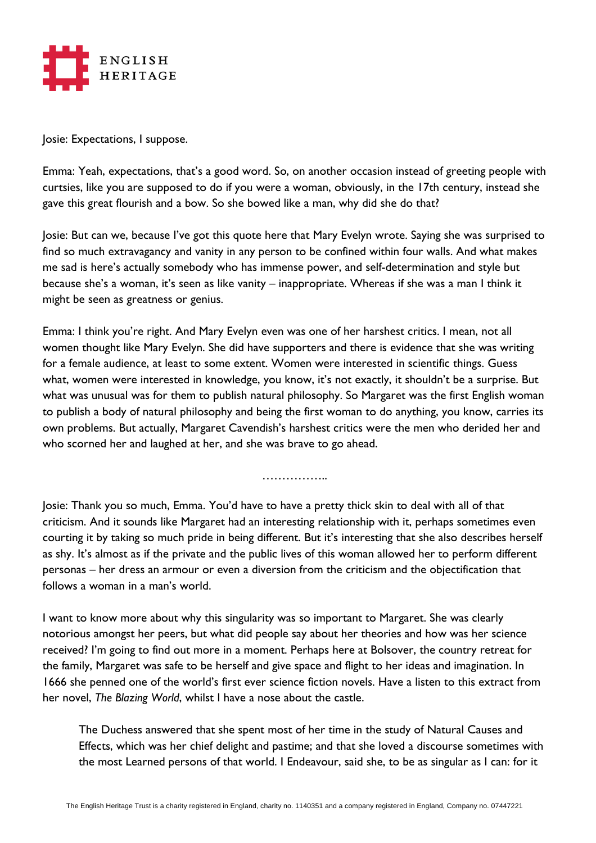

Josie: Expectations, I suppose.

Emma: Yeah, expectations, that's a good word. So, on another occasion instead of greeting people with curtsies, like you are supposed to do if you were a woman, obviously, in the 17th century, instead she gave this great flourish and a bow. So she bowed like a man, why did she do that?

Josie: But can we, because I've got this quote here that Mary Evelyn wrote. Saying she was surprised to find so much extravagancy and vanity in any person to be confined within four walls. And what makes me sad is here's actually somebody who has immense power, and self-determination and style but because she's a woman, it's seen as like vanity – inappropriate. Whereas if she was a man I think it might be seen as greatness or genius.

Emma: I think you're right. And Mary Evelyn even was one of her harshest critics. I mean, not all women thought like Mary Evelyn. She did have supporters and there is evidence that she was writing for a female audience, at least to some extent. Women were interested in scientific things. Guess what, women were interested in knowledge, you know, it's not exactly, it shouldn't be a surprise. But what was unusual was for them to publish natural philosophy. So Margaret was the first English woman to publish a body of natural philosophy and being the first woman to do anything, you know, carries its own problems. But actually, Margaret Cavendish's harshest critics were the men who derided her and who scorned her and laughed at her, and she was brave to go ahead.

……………..

Josie: Thank you so much, Emma. You'd have to have a pretty thick skin to deal with all of that criticism. And it sounds like Margaret had an interesting relationship with it, perhaps sometimes even courting it by taking so much pride in being different. But it's interesting that she also describes herself as shy. It's almost as if the private and the public lives of this woman allowed her to perform different personas – her dress an armour or even a diversion from the criticism and the objectification that follows a woman in a man's world.

I want to know more about why this singularity was so important to Margaret. She was clearly notorious amongst her peers, but what did people say about her theories and how was her science received? I'm going to find out more in a moment. Perhaps here at Bolsover, the country retreat for the family, Margaret was safe to be herself and give space and flight to her ideas and imagination. In 1666 she penned one of the world's first ever science fiction novels. Have a listen to this extract from her novel, *The Blazing World*, whilst I have a nose about the castle.

The Duchess answered that she spent most of her time in the study of Natural Causes and Effects, which was her chief delight and pastime; and that she loved a discourse sometimes with the most Learned persons of that world. I Endeavour, said she, to be as singular as I can: for it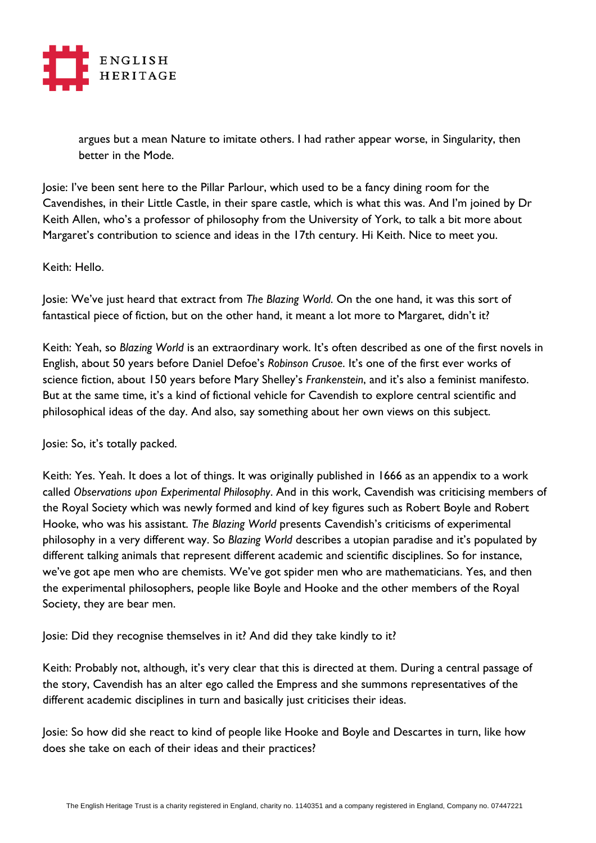

argues but a mean Nature to imitate others. I had rather appear worse, in Singularity, then better in the Mode.

Josie: I've been sent here to the Pillar Parlour, which used to be a fancy dining room for the Cavendishes, in their Little Castle, in their spare castle, which is what this was. And I'm joined by Dr Keith Allen, who's a professor of philosophy from the University of York, to talk a bit more about Margaret's contribution to science and ideas in the 17th century. Hi Keith. Nice to meet you.

## Keith: Hello.

Josie: We've just heard that extract from *The Blazing World*. On the one hand, it was this sort of fantastical piece of fiction, but on the other hand, it meant a lot more to Margaret, didn't it?

Keith: Yeah, so *Blazing World* is an extraordinary work. It's often described as one of the first novels in English, about 50 years before Daniel Defoe's *Robinson Crusoe*. It's one of the first ever works of science fiction, about 150 years before Mary Shelley's *Frankenstein*, and it's also a feminist manifesto. But at the same time, it's a kind of fictional vehicle for Cavendish to explore central scientific and philosophical ideas of the day. And also, say something about her own views on this subject.

Josie: So, it's totally packed.

Keith: Yes. Yeah. It does a lot of things. It was originally published in 1666 as an appendix to a work called *Observations upon Experimental Philosophy*. And in this work, Cavendish was criticising members of the Royal Society which was newly formed and kind of key figures such as Robert Boyle and Robert Hooke, who was his assistant. *The Blazing World* presents Cavendish's criticisms of experimental philosophy in a very different way. So *Blazing World* describes a utopian paradise and it's populated by different talking animals that represent different academic and scientific disciplines. So for instance, we've got ape men who are chemists. We've got spider men who are mathematicians. Yes, and then the experimental philosophers, people like Boyle and Hooke and the other members of the Royal Society, they are bear men.

Josie: Did they recognise themselves in it? And did they take kindly to it?

Keith: Probably not, although, it's very clear that this is directed at them. During a central passage of the story, Cavendish has an alter ego called the Empress and she summons representatives of the different academic disciplines in turn and basically just criticises their ideas.

Josie: So how did she react to kind of people like Hooke and Boyle and Descartes in turn, like how does she take on each of their ideas and their practices?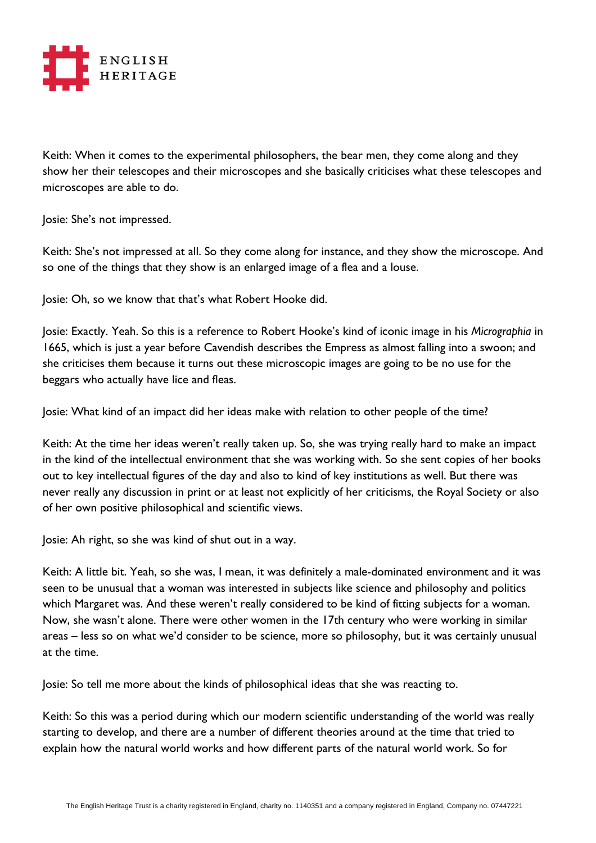

Keith: When it comes to the experimental philosophers, the bear men, they come along and they show her their telescopes and their microscopes and she basically criticises what these telescopes and microscopes are able to do.

Josie: She's not impressed.

Keith: She's not impressed at all. So they come along for instance, and they show the microscope. And so one of the things that they show is an enlarged image of a flea and a louse.

Josie: Oh, so we know that that's what Robert Hooke did.

Josie: Exactly. Yeah. So this is a reference to Robert Hooke's kind of iconic image in his *Micrographia* in 1665, which is just a year before Cavendish describes the Empress as almost falling into a swoon; and she criticises them because it turns out these microscopic images are going to be no use for the beggars who actually have lice and fleas.

Josie: What kind of an impact did her ideas make with relation to other people of the time?

Keith: At the time her ideas weren't really taken up. So, she was trying really hard to make an impact in the kind of the intellectual environment that she was working with. So she sent copies of her books out to key intellectual figures of the day and also to kind of key institutions as well. But there was never really any discussion in print or at least not explicitly of her criticisms, the Royal Society or also of her own positive philosophical and scientific views.

Josie: Ah right, so she was kind of shut out in a way.

Keith: A little bit. Yeah, so she was, I mean, it was definitely a male-dominated environment and it was seen to be unusual that a woman was interested in subjects like science and philosophy and politics which Margaret was. And these weren't really considered to be kind of fitting subjects for a woman. Now, she wasn't alone. There were other women in the 17th century who were working in similar areas – less so on what we'd consider to be science, more so philosophy, but it was certainly unusual at the time.

Josie: So tell me more about the kinds of philosophical ideas that she was reacting to.

Keith: So this was a period during which our modern scientific understanding of the world was really starting to develop, and there are a number of different theories around at the time that tried to explain how the natural world works and how different parts of the natural world work. So for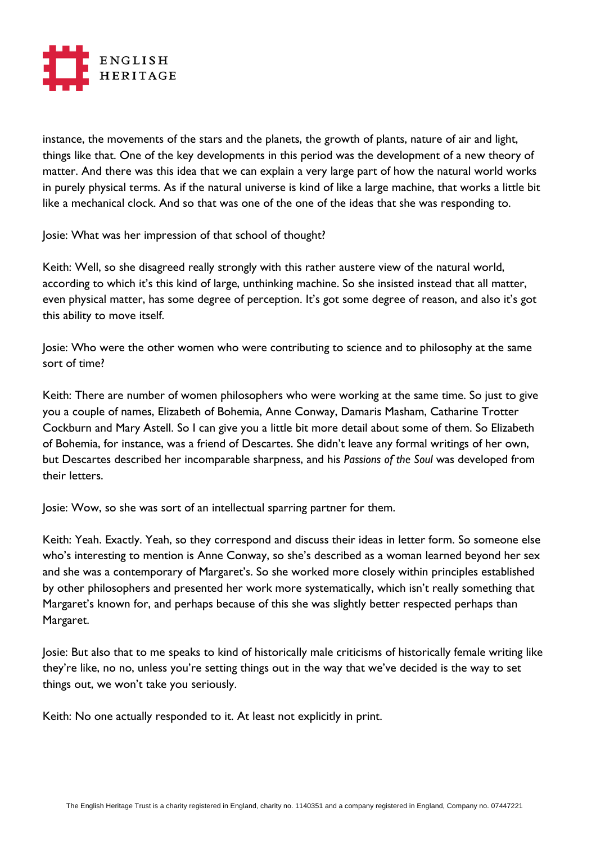

instance, the movements of the stars and the planets, the growth of plants, nature of air and light, things like that. One of the key developments in this period was the development of a new theory of matter. And there was this idea that we can explain a very large part of how the natural world works in purely physical terms. As if the natural universe is kind of like a large machine, that works a little bit like a mechanical clock. And so that was one of the one of the ideas that she was responding to.

Josie: What was her impression of that school of thought?

Keith: Well, so she disagreed really strongly with this rather austere view of the natural world, according to which it's this kind of large, unthinking machine. So she insisted instead that all matter, even physical matter, has some degree of perception. It's got some degree of reason, and also it's got this ability to move itself.

Josie: Who were the other women who were contributing to science and to philosophy at the same sort of time?

Keith: There are number of women philosophers who were working at the same time. So just to give you a couple of names, Elizabeth of Bohemia, Anne Conway, Damaris Masham, Catharine Trotter Cockburn and Mary Astell. So I can give you a little bit more detail about some of them. So Elizabeth of Bohemia, for instance, was a friend of Descartes. She didn't leave any formal writings of her own, but Descartes described her incomparable sharpness, and his *Passions of the Soul* was developed from their letters.

Josie: Wow, so she was sort of an intellectual sparring partner for them.

Keith: Yeah. Exactly. Yeah, so they correspond and discuss their ideas in letter form. So someone else who's interesting to mention is Anne Conway, so she's described as a woman learned beyond her sex and she was a contemporary of Margaret's. So she worked more closely within principles established by other philosophers and presented her work more systematically, which isn't really something that Margaret's known for, and perhaps because of this she was slightly better respected perhaps than Margaret.

Josie: But also that to me speaks to kind of historically male criticisms of historically female writing like they're like, no no, unless you're setting things out in the way that we've decided is the way to set things out, we won't take you seriously.

Keith: No one actually responded to it. At least not explicitly in print.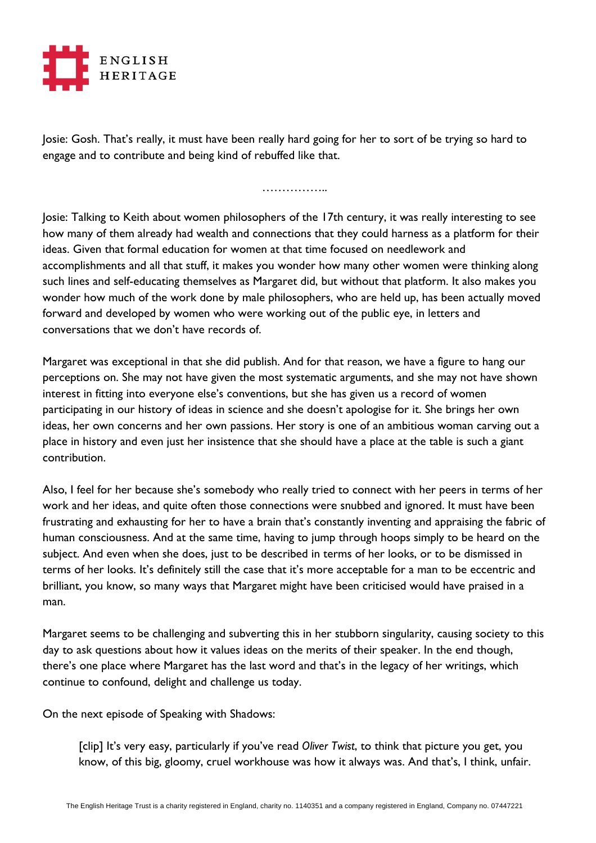

Josie: Gosh. That's really, it must have been really hard going for her to sort of be trying so hard to engage and to contribute and being kind of rebuffed like that.

……………..

Josie: Talking to Keith about women philosophers of the 17th century, it was really interesting to see how many of them already had wealth and connections that they could harness as a platform for their ideas. Given that formal education for women at that time focused on needlework and accomplishments and all that stuff, it makes you wonder how many other women were thinking along such lines and self-educating themselves as Margaret did, but without that platform. It also makes you wonder how much of the work done by male philosophers, who are held up, has been actually moved forward and developed by women who were working out of the public eye, in letters and conversations that we don't have records of.

Margaret was exceptional in that she did publish. And for that reason, we have a figure to hang our perceptions on. She may not have given the most systematic arguments, and she may not have shown interest in fitting into everyone else's conventions, but she has given us a record of women participating in our history of ideas in science and she doesn't apologise for it. She brings her own ideas, her own concerns and her own passions. Her story is one of an ambitious woman carving out a place in history and even just her insistence that she should have a place at the table is such a giant contribution.

Also, I feel for her because she's somebody who really tried to connect with her peers in terms of her work and her ideas, and quite often those connections were snubbed and ignored. It must have been frustrating and exhausting for her to have a brain that's constantly inventing and appraising the fabric of human consciousness. And at the same time, having to jump through hoops simply to be heard on the subject. And even when she does, just to be described in terms of her looks, or to be dismissed in terms of her looks. It's definitely still the case that it's more acceptable for a man to be eccentric and brilliant, you know, so many ways that Margaret might have been criticised would have praised in a man.

Margaret seems to be challenging and subverting this in her stubborn singularity, causing society to this day to ask questions about how it values ideas on the merits of their speaker. In the end though, there's one place where Margaret has the last word and that's in the legacy of her writings, which continue to confound, delight and challenge us today.

On the next episode of Speaking with Shadows:

[clip] It's very easy, particularly if you've read *Oliver Twist*, to think that picture you get, you know, of this big, gloomy, cruel workhouse was how it always was. And that's, I think, unfair.